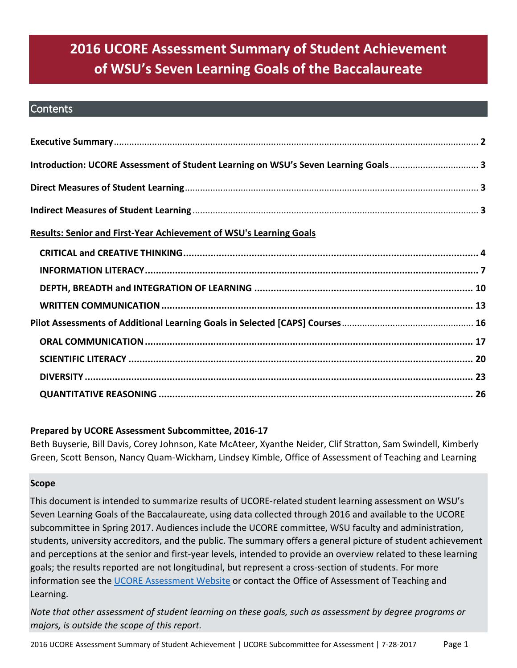# **2016 UCORE Assessment Summary of Student Achievement of WSU's Seven Learning Goals of the Baccalaureate**

#### **Contents**

| Introduction: UCORE Assessment of Student Learning on WSU's Seven Learning Goals 3 |  |
|------------------------------------------------------------------------------------|--|
|                                                                                    |  |
|                                                                                    |  |
| <b>Results: Senior and First-Year Achievement of WSU's Learning Goals</b>          |  |
|                                                                                    |  |
|                                                                                    |  |
|                                                                                    |  |
|                                                                                    |  |
|                                                                                    |  |
|                                                                                    |  |
|                                                                                    |  |
|                                                                                    |  |
|                                                                                    |  |

### **Prepared by UCORE Assessment Subcommittee, 2016-17**

Beth Buyserie, Bill Davis, Corey Johnson, Kate McAteer, Xyanthe Neider, Clif Stratton, Sam Swindell, Kimberly Green, Scott Benson, Nancy Quam-Wickham, Lindsey Kimble, Office of Assessment of Teaching and Learning

#### **Scope**

This document is intended to summarize results of UCORE-related student learning assessment on WSU's Seven Learning Goals of the Baccalaureate, using data collected through 2016 and available to the UCORE subcommittee in Spring 2017. Audiences include the UCORE committee, WSU faculty and administration, students, university accreditors, and the public. The summary offers a general picture of student achievement and perceptions at the senior and first-year levels, intended to provide an overview related to these learning goals; the results reported are not longitudinal, but represent a cross-section of students. For more information see the [UCORE Assessment Website](https://ucore.wsu.edu/assessment/) or contact the Office of Assessment of Teaching and Learning.

*Note that other assessment of student learning on these goals, such as assessment by degree programs or majors, is outside the scope of this report.*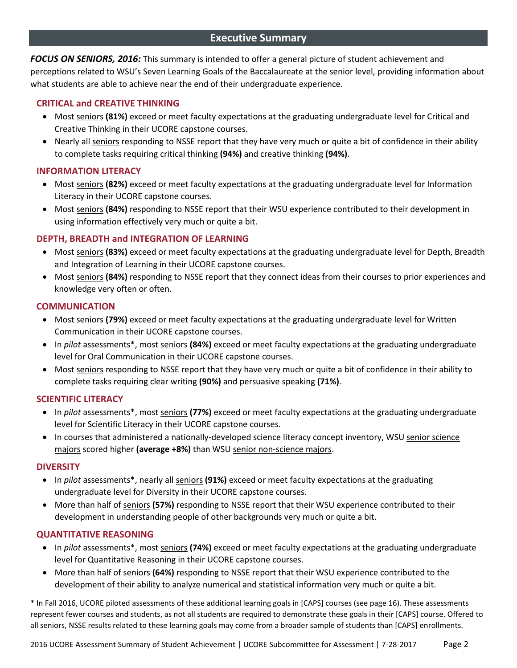#### **Executive Summary**

<span id="page-1-0"></span>*FOCUS ON SENIORS, 2016:* This summary is intended to offer a general picture of student achievement and perceptions related to WSU's Seven Learning Goals of the Baccalaureate at the senior level, providing information about what students are able to achieve near the end of their undergraduate experience.

#### **CRITICAL and CREATIVE THINKING**

- Most seniors **(81%)** exceed or meet faculty expectations at the graduating undergraduate level for Critical and Creative Thinking in their UCORE capstone courses.
- Nearly all seniors responding to NSSE report that they have very much or quite a bit of confidence in their ability to complete tasks requiring critical thinking **(94%)** and creative thinking **(94%)**.

#### **INFORMATION LITERACY**

- Most seniors **(82%)** exceed or meet faculty expectations at the graduating undergraduate level for Information Literacy in their UCORE capstone courses.
- Most seniors **(84%)** responding to NSSE report that their WSU experience contributed to their development in using information effectively very much or quite a bit.

#### **DEPTH, BREADTH and INTEGRATION OF LEARNING**

- Most seniors **(83%)** exceed or meet faculty expectations at the graduating undergraduate level for Depth, Breadth and Integration of Learning in their UCORE capstone courses.
- Most seniors (84%) responding to NSSE report that they connect ideas from their courses to prior experiences and knowledge very often or often.

#### **COMMUNICATION**

- Most seniors (79%) exceed or meet faculty expectations at the graduating undergraduate level for Written Communication in their UCORE capstone courses.
- In *pilot* assessments\*, most seniors **(84%)** exceed or meet faculty expectations at the graduating undergraduate level for Oral Communication in their UCORE capstone courses.
- Most seniors responding to NSSE report that they have very much or quite a bit of confidence in their ability to complete tasks requiring clear writing **(90%)** and persuasive speaking **(71%)**.

#### **SCIENTIFIC LITERACY**

- In *pilot* assessments\*, most seniors **(77%)** exceed or meet faculty expectations at the graduating undergraduate level for Scientific Literacy in their UCORE capstone courses.
- In courses that administered a nationally-developed science literacy concept inventory, WSU senior science majors scored higher **(average +8%)** than WSU senior non-science majors.

#### **DIVERSITY**

- In *pilot* assessments\*, nearly all seniors **(91%)** exceed or meet faculty expectations at the graduating undergraduate level for Diversity in their UCORE capstone courses.
- More than half of seniors **(57%)** responding to NSSE report that their WSU experience contributed to their development in understanding people of other backgrounds very much or quite a bit.

#### **QUANTITATIVE REASONING**

- In *pilot* assessments\*, most seniors **(74%)** exceed or meet faculty expectations at the graduating undergraduate level for Quantitative Reasoning in their UCORE capstone courses.
- More than half of seniors **(64%)** responding to NSSE report that their WSU experience contributed to the development of their ability to analyze numerical and statistical information very much or quite a bit.

\* In Fall 2016, UCORE piloted assessments of these additional learning goals in [CAPS] courses (see page 16). These assessments represent fewer courses and students, as not all students are required to demonstrate these goals in their [CAPS] course. Offered to all seniors, NSSE results related to these learning goals may come from a broader sample of students than [CAPS] enrollments.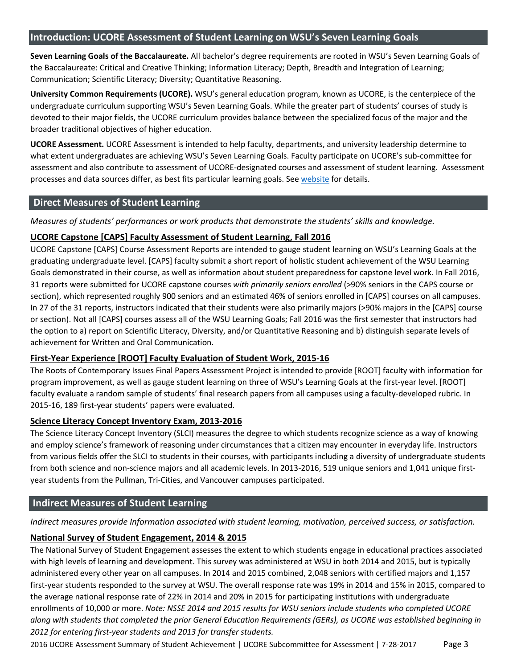#### <span id="page-2-0"></span>**Introduction: UCORE Assessment of Student Learning on WSU's Seven Learning Goals**

**Seven Learning Goals of the Baccalaureate.** All bachelor's degree requirements are rooted in WSU's Seven Learning Goals of the Baccalaureate: Critical and Creative Thinking; Information Literacy; Depth, Breadth and Integration of Learning; Communication; Scientific Literacy; Diversity; Quantitative Reasoning.

**University Common Requirements (UCORE).** WSU's general education program, known as UCORE, is the centerpiece of the undergraduate curriculum supporting WSU's Seven Learning Goals. While the greater part of students' courses of study is devoted to their major fields, the UCORE curriculum provides balance between the specialized focus of the major and the broader traditional objectives of higher education.

**UCORE Assessment.** UCORE Assessment is intended to help faculty, departments, and university leadership determine to what extent undergraduates are achieving WSU's Seven Learning Goals. Faculty participate on UCORE's sub-committee for assessment and also contribute to assessment of UCORE-designated courses and assessment of student learning. Assessment processes and data sources differ, as best fits particular learning goals. Se[e website](https://ucore.wsu.edu/assessment/) for details.

#### <span id="page-2-1"></span>**Direct Measures of Student Learning**

*Measures of students' performances or work products that demonstrate the students' skills and knowledge.*

#### **UCORE Capstone [CAPS] Faculty Assessment of Student Learning, Fall 2016**

UCORE Capstone [CAPS] Course Assessment Reports are intended to gauge student learning on WSU's Learning Goals at the graduating undergraduate level. [CAPS] faculty submit a short report of holistic student achievement of the WSU Learning Goals demonstrated in their course, as well as information about student preparedness for capstone level work. In Fall 2016, 31 reports were submitted for UCORE capstone courses *with primarily seniors enrolled* (>90% seniors in the CAPS course or section), which represented roughly 900 seniors and an estimated 46% of seniors enrolled in [CAPS] courses on all campuses. In 27 of the 31 reports, instructors indicated that their students were also primarily majors (>90% majors in the [CAPS] course or section). Not all [CAPS] courses assess all of the WSU Learning Goals; Fall 2016 was the first semester that instructors had the option to a) report on Scientific Literacy, Diversity, and/or Quantitative Reasoning and b) distinguish separate levels of achievement for Written and Oral Communication.

#### **First-Year Experience [ROOT] Faculty Evaluation of Student Work, 2015-16**

The Roots of Contemporary Issues Final Papers Assessment Project is intended to provide [ROOT] faculty with information for program improvement, as well as gauge student learning on three of WSU's Learning Goals at the first-year level. [ROOT] faculty evaluate a random sample of students' final research papers from all campuses using a faculty-developed rubric. In 2015-16, 189 first-year students' papers were evaluated.

#### **Science Literacy Concept Inventory Exam, 2013-2016**

The Science Literacy Concept Inventory (SLCI) measures the degree to which students recognize science as a way of knowing and employ science's framework of reasoning under circumstances that a citizen may encounter in everyday life. Instructors from various fields offer the SLCI to students in their courses, with participants including a diversity of undergraduate students from both science and non-science majors and all academic levels. In 2013-2016, 519 unique seniors and 1,041 unique firstyear students from the Pullman, Tri-Cities, and Vancouver campuses participated.

### <span id="page-2-2"></span>**Indirect Measures of Student Learning**

*Indirect measures provide Information associated with student learning, motivation, perceived success, or satisfaction.*

#### **National Survey of Student Engagement, 2014 & 2015**

The National Survey of Student Engagement assesses the extent to which students engage in educational practices associated with high levels of learning and development. This survey was administered at WSU in both 2014 and 2015, but is typically administered every other year on all campuses. In 2014 and 2015 combined, 2,048 seniors with certified majors and 1,157 first-year students responded to the survey at WSU. The overall response rate was 19% in 2014 and 15% in 2015, compared to the average national response rate of 22% in 2014 and 20% in 2015 for participating institutions with undergraduate enrollments of 10,000 or more. *Note: NSSE 2014 and 2015 results for WSU seniors include students who completed UCORE along with students that completed the prior General Education Requirements (GERs), as UCORE was established beginning in 2012 for entering first-year students and 2013 for transfer students.*

2016 UCORE Assessment Summary of Student Achievement | UCORE Subcommittee for Assessment | 7-28-2017 Page 3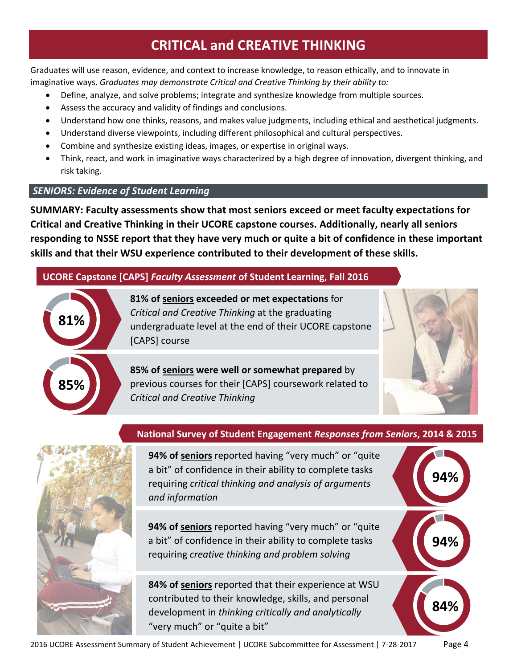# **CRITICAL and CREATIVE THINKING**

<span id="page-3-0"></span>Graduates will use reason, evidence, and context to increase knowledge, to reason ethically, and to innovate in imaginative ways. *Graduates may demonstrate Critical and Creative Thinking by their ability to:*

- Define, analyze, and solve problems; integrate and synthesize knowledge from multiple sources.
- Assess the accuracy and validity of findings and conclusions.
- Understand how one thinks, reasons, and makes value judgments, including ethical and aesthetical judgments.
- Understand diverse viewpoints, including different philosophical and cultural perspectives.
- Combine and synthesize existing ideas, images, or expertise in original ways.
- Think, react, and work in imaginative ways characterized by a high degree of innovation, divergent thinking, and risk taking.

### *SENIORS: Evidence of Student Learning*

**SUMMARY: Faculty assessments show that most seniors exceed or meet faculty expectations for Critical and Creative Thinking in their UCORE capstone courses. Additionally, nearly all seniors responding to NSSE report that they have very much or quite a bit of confidence in these important skills and that their WSU experience contributed to their development of these skills.**

# **UCORE Capstone [CAPS]** *Faculty Assessment* **of Student Learning, Fall 2016**



**81% of seniors exceeded or met expectations** for *Critical and Creative Thinking* at the graduating undergraduate level at the end of their UCORE capstone [CAPS] course

**85% of seniors were well or somewhat prepared** by previous courses for their [CAPS] coursework related to *Critical and Creative Thinking*



**94%**

**94%**

**84%**



### **National Survey of Student Engagement** *Responses from Seniors***, 2014 & 2015**

**94% of seniors** reported having "very much" or "quite a bit" of confidence in their ability to complete tasks requiring *critical thinking and analysis of arguments and information*

**94% of seniors** reported having "very much" or "quite a bit" of confidence in their ability to complete tasks requiring *creative thinking and problem solving*

**84% of seniors** reported that their experience at WSU contributed to their knowledge, skills, and personal development in *thinking critically and analytically* "very much" or "quite a bit"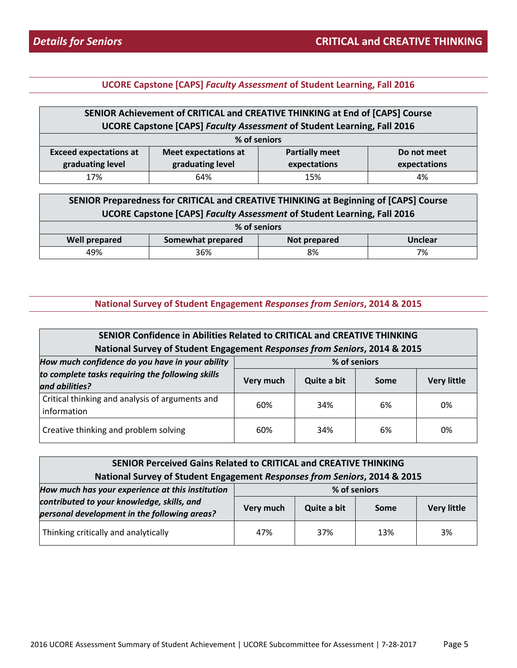| SENIOR Achievement of CRITICAL and CREATIVE THINKING at End of [CAPS] Course |                                                                     |     |    |  |  |  |
|------------------------------------------------------------------------------|---------------------------------------------------------------------|-----|----|--|--|--|
| UCORE Capstone [CAPS] Faculty Assessment of Student Learning, Fall 2016      |                                                                     |     |    |  |  |  |
| % of seniors                                                                 |                                                                     |     |    |  |  |  |
| <b>Exceed expectations at</b>                                                | <b>Partially meet</b><br><b>Meet expectations at</b><br>Do not meet |     |    |  |  |  |
| graduating level<br>graduating level<br>expectations<br>expectations         |                                                                     |     |    |  |  |  |
| 17%                                                                          | 64%                                                                 | 15% | 4% |  |  |  |

| SENIOR Preparedness for CRITICAL and CREATIVE THINKING at Beginning of [CAPS] Course<br><b>UCORE Capstone [CAPS] Faculty Assessment of Student Learning, Fall 2016</b> |     |    |    |  |
|------------------------------------------------------------------------------------------------------------------------------------------------------------------------|-----|----|----|--|
| % of seniors                                                                                                                                                           |     |    |    |  |
| <b>Well prepared</b><br>Somewhat prepared<br><b>Unclear</b><br>Not prepared                                                                                            |     |    |    |  |
| 49%                                                                                                                                                                    | 36% | 8% | 7% |  |

| SENIOR Confidence in Abilities Related to CRITICAL and CREATIVE THINKING<br>National Survey of Student Engagement Responses from Seniors, 2014 & 2015 |                          |     |      |                    |
|-------------------------------------------------------------------------------------------------------------------------------------------------------|--------------------------|-----|------|--------------------|
| How much confidence do you have in your ability<br>% of seniors                                                                                       |                          |     |      |                    |
| to complete tasks requiring the following skills<br>and abilities?                                                                                    | Quite a bit<br>Very much |     | Some | <b>Very little</b> |
| Critical thinking and analysis of arguments and<br>information                                                                                        | 60%                      | 34% | 6%   | 0%                 |
| Creative thinking and problem solving                                                                                                                 | 60%                      | 34% | 6%   | 0%                 |

| SENIOR Perceived Gains Related to CRITICAL and CREATIVE THINKING                           |              |             |      |                    |  |
|--------------------------------------------------------------------------------------------|--------------|-------------|------|--------------------|--|
| National Survey of Student Engagement Responses from Seniors, 2014 & 2015                  |              |             |      |                    |  |
| How much has your experience at this institution                                           | % of seniors |             |      |                    |  |
| contributed to your knowledge, skills, and<br>personal development in the following areas? | Very much    | Quite a bit | Some | <b>Very little</b> |  |
| Thinking critically and analytically                                                       | 47%          | 37%         | 13%  | 3%                 |  |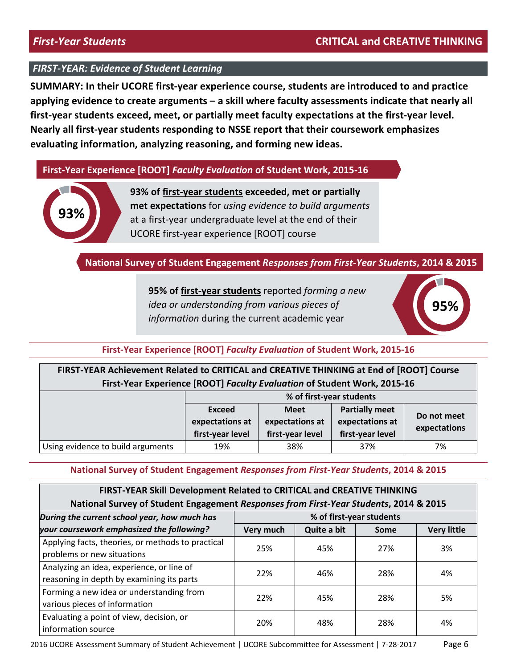**SUMMARY: In their UCORE first-year experience course, students are introduced to and practice applying evidence to create arguments – a skill where faculty assessments indicate that nearly all first-year students exceed, meet, or partially meet faculty expectations at the first-year level. Nearly all first-year students responding to NSSE report that their coursework emphasizes evaluating information, analyzing reasoning, and forming new ideas.**

#### **First-Year Experience [ROOT]** *Faculty Evaluation* **of Student Work, 2015-16**



**93% of first-year students exceeded, met or partially met expectations** for *using evidence to build arguments* at a first-year undergraduate level at the end of their UCORE first-year experience [ROOT] course

#### **National Survey of Student Engagement** *Responses from First-Year Students***, 2014 & 2015**

**95% of first-year students** reported *forming a new idea or understanding from various pieces of information* during the current academic year



#### **First-Year Experience [ROOT]** *Faculty Evaluation* **of Student Work, 2015-16**

| FIRST-YEAR Achievement Related to CRITICAL and CREATIVE THINKING at End of [ROOT] Course |
|------------------------------------------------------------------------------------------|
| First-Year Experience [ROOT] Faculty Evaluation of Student Work, 2015-16                 |

|                                   | % of first-year students |                  |                       |              |  |
|-----------------------------------|--------------------------|------------------|-----------------------|--------------|--|
|                                   | Exceed                   | <b>Meet</b>      | <b>Partially meet</b> |              |  |
|                                   | expectations at          | expectations at  | expectations at       | Do not meet  |  |
|                                   | first-year level         | first-year level | first-year level      | expectations |  |
| Using evidence to build arguments | 19%                      | 38%              | 37%                   | 7%           |  |

| FIRST-YEAR Skill Development Related to CRITICAL and CREATIVE THINKING                |           |             |             |                    |
|---------------------------------------------------------------------------------------|-----------|-------------|-------------|--------------------|
| National Survey of Student Engagement Responses from First-Year Students, 2014 & 2015 |           |             |             |                    |
| % of first-year students<br>During the current school year, how much has              |           |             |             |                    |
| your coursework emphasized the following?                                             | Very much | Quite a bit | <b>Some</b> | <b>Very little</b> |
| Applying facts, theories, or methods to practical                                     | 25%       | 45%         | 27%         | 3%                 |
| problems or new situations                                                            |           |             |             |                    |
| Analyzing an idea, experience, or line of                                             | 22%       | 46%         | 28%         | 4%                 |
| reasoning in depth by examining its parts                                             |           |             |             |                    |
| Forming a new idea or understanding from                                              | 22%       | 45%         | 28%         | 5%                 |
| various pieces of information                                                         |           |             |             |                    |
| Evaluating a point of view, decision, or                                              | 20%       | 48%         | 28%         | 4%                 |
| information source                                                                    |           |             |             |                    |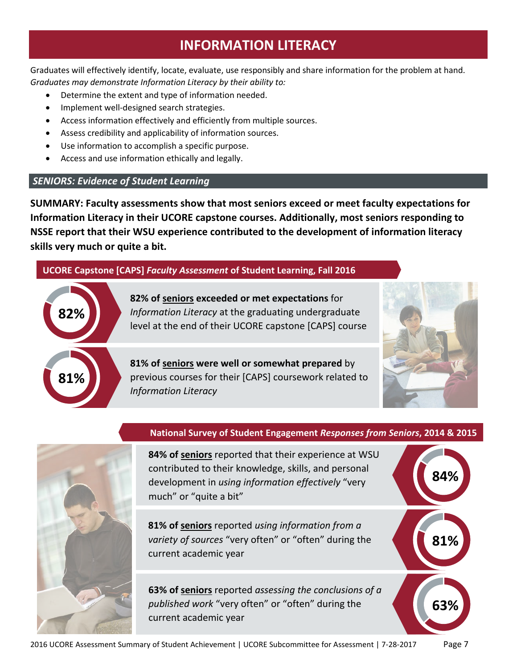# **INFORMATION LITERACY**

<span id="page-6-0"></span>Graduates will effectively identify, locate, evaluate, use responsibly and share information for the problem at hand. *Graduates may demonstrate Information Literacy by their ability to:*

- Determine the extent and type of information needed.
- Implement well-designed search strategies.
- Access information effectively and efficiently from multiple sources.
- Assess credibility and applicability of information sources.
- Use information to accomplish a specific purpose.
- Access and use information ethically and legally.

#### *SENIORS: Evidence of Student Learning*

**SUMMARY: Faculty assessments show that most seniors exceed or meet faculty expectations for Information Literacy in their UCORE capstone courses. Additionally, most seniors responding to NSSE report that their WSU experience contributed to the development of information literacy skills very much or quite a bit.**

### **UCORE Capstone [CAPS]** *Faculty Assessment* **of Student Learning, Fall 2016**



**82% of seniors exceeded or met expectations** for *Information Literacy* at the graduating undergraduate level at the end of their UCORE capstone [CAPS] course

**81% of seniors were well or somewhat prepared** by previous courses for their [CAPS] coursework related to *Information Literacy*



**84%**

**81%**

**63%**



#### **National Survey of Student Engagement** *Responses from Seniors***, 2014 & 2015**

**84% of seniors** reported that their experience at WSU contributed to their knowledge, skills, and personal development in *using information effectively* "very much" or "quite a bit"

**81% of seniors** reported *using information from a variety of sources* "very often" or "often" during the current academic year

**63% of seniors** reported *assessing the conclusions of a published work* "very often" or "often" during the current academic year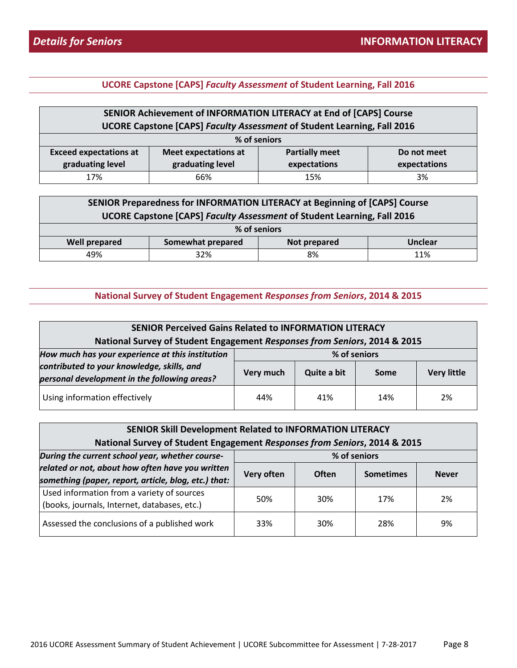| SENIOR Achievement of INFORMATION LITERACY at End of [CAPS] Course<br>UCORE Capstone [CAPS] Faculty Assessment of Student Learning, Fall 2016 |                                                                     |     |    |  |  |
|-----------------------------------------------------------------------------------------------------------------------------------------------|---------------------------------------------------------------------|-----|----|--|--|
|                                                                                                                                               | % of seniors                                                        |     |    |  |  |
| <b>Exceed expectations at</b>                                                                                                                 | <b>Partially meet</b><br><b>Meet expectations at</b><br>Do not meet |     |    |  |  |
| graduating level<br>graduating level<br>expectations<br>expectations                                                                          |                                                                     |     |    |  |  |
| 17%                                                                                                                                           | 66%                                                                 | 15% | 3% |  |  |

| SENIOR Preparedness for INFORMATION LITERACY at Beginning of [CAPS] Course<br>UCORE Capstone [CAPS] Faculty Assessment of Student Learning, Fall 2016 |              |           |  |  |  |
|-------------------------------------------------------------------------------------------------------------------------------------------------------|--------------|-----------|--|--|--|
|                                                                                                                                                       |              |           |  |  |  |
|                                                                                                                                                       | % of seniors |           |  |  |  |
| Somewhat prepared<br><b>Well prepared</b><br><b>Unclear</b><br>Not prepared                                                                           |              |           |  |  |  |
| 49%                                                                                                                                                   | 32%          | 8%<br>11% |  |  |  |

| <b>SENIOR Perceived Gains Related to INFORMATION LITERACY</b>                              |           |              |      |                    |
|--------------------------------------------------------------------------------------------|-----------|--------------|------|--------------------|
| National Survey of Student Engagement Responses from Seniors, 2014 & 2015                  |           |              |      |                    |
| How much has your experience at this institution                                           |           | % of seniors |      |                    |
| contributed to your knowledge, skills, and<br>personal development in the following areas? | Very much | Quite a bit  | Some | <b>Very little</b> |
| Using information effectively                                                              | 44%       | 41%          | 14%  | 2%                 |

| <b>SENIOR Skill Development Related to INFORMATION LITERACY</b>           |            |              |                  |              |  |
|---------------------------------------------------------------------------|------------|--------------|------------------|--------------|--|
| National Survey of Student Engagement Responses from Seniors, 2014 & 2015 |            |              |                  |              |  |
| During the current school year, whether course-<br>% of seniors           |            |              |                  |              |  |
| related or not, about how often have you written                          | Very often | <b>Often</b> | <b>Sometimes</b> | <b>Never</b> |  |
| something (paper, report, article, blog, etc.) that:                      |            |              |                  |              |  |
| Used information from a variety of sources                                | 50%        | 30%          | 17%              | 2%           |  |
| (books, journals, Internet, databases, etc.)                              |            |              |                  |              |  |
| Assessed the conclusions of a published work                              | 33%        | 30%          | 28%              | 9%           |  |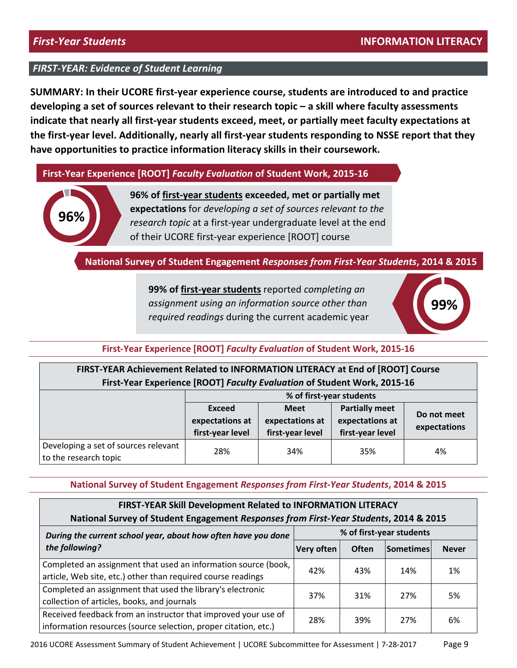**SUMMARY: In their UCORE first-year experience course, students are introduced to and practice developing a set of sources relevant to their research topic – a skill where faculty assessments indicate that nearly all first-year students exceed, meet, or partially meet faculty expectations at the first-year level. Additionally, nearly all first-year students responding to NSSE report that they have opportunities to practice information literacy skills in their coursework.**

**First-Year Experience [ROOT]** *Faculty Evaluation* **of Student Work, 2015-16**



**96% of first-year students exceeded, met or partially met expectations** for *developing a set of sources relevant to the research topic* at a first-year undergraduate level at the end of their UCORE first-year experience [ROOT] course

**National Survey of Student Engagement** *Responses from First-Year Students***, 2014 & 2015**

**99% of first-year students** reported *completing an assignment using an information source other than required readings* during the current academic year



### **First-Year Experience [ROOT]** *Faculty Evaluation* **of Student Work, 2015-16**

### **FIRST-YEAR Achievement Related to INFORMATION LITERACY at End of [ROOT] Course First-Year Experience [ROOT]** *Faculty Evaluation* **of Student Work, 2015-16**

|                                                               | % of first-year students                                    |     |                                          |                             |  |
|---------------------------------------------------------------|-------------------------------------------------------------|-----|------------------------------------------|-----------------------------|--|
|                                                               | Exceed<br><b>Meet</b><br>expectations at<br>expectations at |     | <b>Partially meet</b><br>expectations at | Do not meet<br>expectations |  |
|                                                               | first-year level<br>first-year level<br>first-year level    |     |                                          |                             |  |
| Developing a set of sources relevant<br>to the research topic | 28%                                                         | 34% | 35%                                      | 4%                          |  |

**National Survey of Student Engagement** *Responses from First-Year Students***, 2014 & 2015**

| FIRST-YEAR Skill Development Related to INFORMATION LITERACY                                                                      |            |              |                          |              |  |
|-----------------------------------------------------------------------------------------------------------------------------------|------------|--------------|--------------------------|--------------|--|
| National Survey of Student Engagement Responses from First-Year Students, 2014 & 2015                                             |            |              |                          |              |  |
| During the current school year, about how often have you done                                                                     |            |              | % of first-year students |              |  |
| the following?                                                                                                                    | Very often | <b>Often</b> | <b>Sometimes</b>         | <b>Never</b> |  |
| Completed an assignment that used an information source (book,<br>article, Web site, etc.) other than required course readings    | 42%        | 43%          | 14%                      | 1%           |  |
| Completed an assignment that used the library's electronic<br>collection of articles, books, and journals                         | 37%        | 31%          | 27%                      | 5%           |  |
| Received feedback from an instructor that improved your use of<br>information resources (source selection, proper citation, etc.) | 28%        | 39%          | 27%                      | 6%           |  |

2016 UCORE Assessment Summary of Student Achievement | UCORE Subcommittee for Assessment | 7-28-2017 Page 9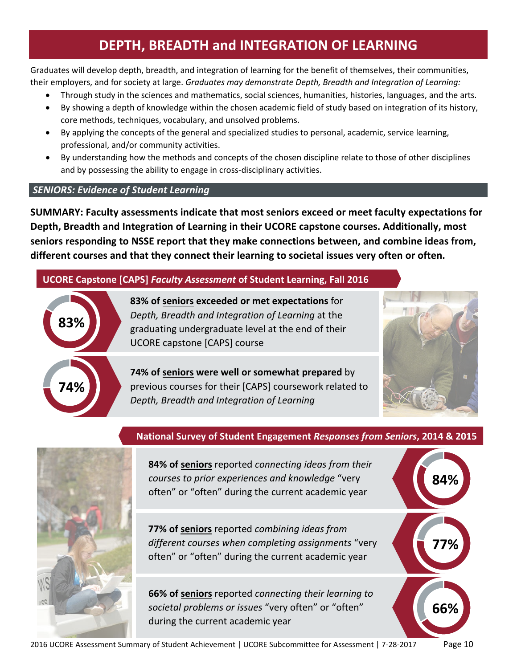# **DEPTH, BREADTH and INTEGRATION OF LEARNING**

<span id="page-9-0"></span>Graduates will develop depth, breadth, and integration of learning for the benefit of themselves, their communities, their employers, and for society at large. *Graduates may demonstrate Depth, Breadth and Integration of Learning:*

- Through study in the sciences and mathematics, social sciences, humanities, histories, languages, and the arts.
- By showing a depth of knowledge within the chosen academic field of study based on integration of its history, core methods, techniques, vocabulary, and unsolved problems.
- By applying the concepts of the general and specialized studies to personal, academic, service learning, professional, and/or community activities.
- By understanding how the methods and concepts of the chosen discipline relate to those of other disciplines and by possessing the ability to engage in cross-disciplinary activities.

# *SENIORS: Evidence of Student Learning*

**SUMMARY: Faculty assessments indicate that most seniors exceed or meet faculty expectations for Depth, Breadth and Integration of Learning in their UCORE capstone courses. Additionally, most seniors responding to NSSE report that they make connections between, and combine ideas from, different courses and that they connect their learning to societal issues very often or often.**

# **UCORE Capstone [CAPS]** *Faculty Assessment* **of Student Learning, Fall 2016**



**83% of seniors exceeded or met expectations** for *Depth, Breadth and Integration of Learning* at the graduating undergraduate level at the end of their UCORE capstone [CAPS] course

**74% of seniors were well or somewhat prepared** by previous courses for their [CAPS] coursework related to *Depth, Breadth and Integration of Learning*



**84%**

**77%**

**66%**

# **National Survey of Student Engagement** *Responses from Seniors***, 2014 & 2015**



**84% of seniors** reported *connecting ideas from their courses to prior experiences and knowledge* "very often" or "often" during the current academic year

**77% of seniors** reported *combining ideas from different courses when completing assignments* "very often" or "often" during the current academic year

**66% of seniors** reported *connecting their learning to societal problems or issues* "very often" or "often" during the current academic year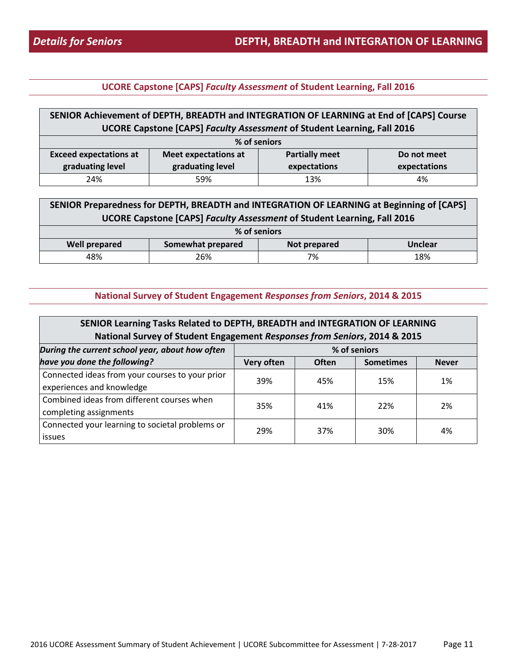#### **SENIOR Achievement of DEPTH, BREADTH and INTEGRATION OF LEARNING at End of [CAPS] Course UCORE Capstone [CAPS]** *Faculty Assessment* **of Student Learning, Fall 2016 % of seniors Exceed expectations at graduating level Meet expectations at graduating level Partially meet expectations Do not meet expectations** 24% 59% 13% 4%

| SENIOR Preparedness for DEPTH, BREADTH and INTEGRATION OF LEARNING at Beginning of [CAPS] |              |  |  |  |  |
|-------------------------------------------------------------------------------------------|--------------|--|--|--|--|
| <b>UCORE Capstone [CAPS] Faculty Assessment of Student Learning, Fall 2016</b>            |              |  |  |  |  |
|                                                                                           | % of seniors |  |  |  |  |
| <b>Well prepared</b><br>Somewhat prepared<br>Not prepared<br>Unclear                      |              |  |  |  |  |
| 18%<br>48%<br>26%<br>7%                                                                   |              |  |  |  |  |

| SENIOR Learning Tasks Related to DEPTH, BREADTH and INTEGRATION OF LEARNING |                         |              |                  |              |  |  |  |
|-----------------------------------------------------------------------------|-------------------------|--------------|------------------|--------------|--|--|--|
| National Survey of Student Engagement Responses from Seniors, 2014 & 2015   |                         |              |                  |              |  |  |  |
| During the current school year, about how often                             | % of seniors            |              |                  |              |  |  |  |
| have you done the following?                                                | Very often              | <b>Often</b> | <b>Sometimes</b> | <b>Never</b> |  |  |  |
| Connected ideas from your courses to your prior                             | 39%                     | 45%          | 15%              | 1%           |  |  |  |
| experiences and knowledge                                                   |                         |              |                  |              |  |  |  |
| Combined ideas from different courses when                                  | 35%<br>22%<br>2%<br>41% |              |                  |              |  |  |  |
| completing assignments                                                      |                         |              |                  |              |  |  |  |
| Connected your learning to societal problems or                             | 29%                     | 37%          | 30%              | 4%           |  |  |  |
| issues                                                                      |                         |              |                  |              |  |  |  |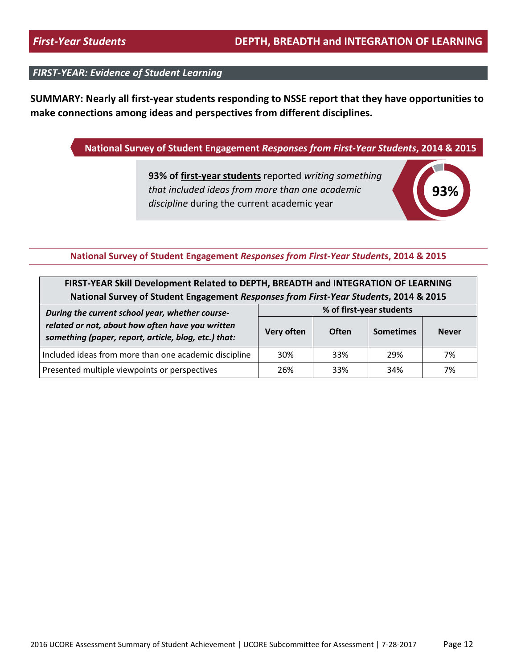**SUMMARY: Nearly all first-year students responding to NSSE report that they have opportunities to make connections among ideas and perspectives from different disciplines.** 

### **National Survey of Student Engagement** *Responses from First-Year Students***, 2014 & 2015**

**93% of first-year students** reported *writing something that included ideas from more than one academic discipline* during the current academic year



| FIRST-YEAR Skill Development Related to DEPTH, BREADTH and INTEGRATION OF LEARNING                                                                                         |     |     |     |    |  |  |
|----------------------------------------------------------------------------------------------------------------------------------------------------------------------------|-----|-----|-----|----|--|--|
| National Survey of Student Engagement Responses from First-Year Students, 2014 & 2015                                                                                      |     |     |     |    |  |  |
| % of first-year students<br>During the current school year, whether course-                                                                                                |     |     |     |    |  |  |
| related or not, about how often have you written<br>Very often<br><b>Often</b><br><b>Sometimes</b><br><b>Never</b><br>something (paper, report, article, blog, etc.) that: |     |     |     |    |  |  |
| Included ideas from more than one academic discipline<br>30%<br>33%<br>7%<br>29%                                                                                           |     |     |     |    |  |  |
| Presented multiple viewpoints or perspectives                                                                                                                              | 26% | 33% | 34% | 7% |  |  |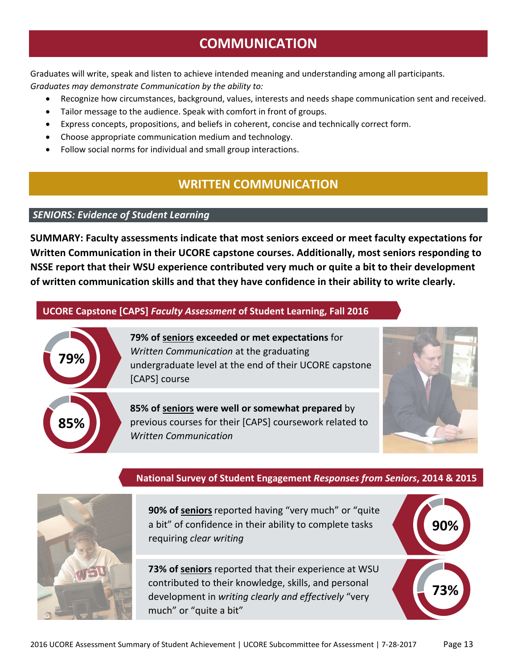Graduates will write, speak and listen to achieve intended meaning and understanding among all participants. *Graduates may demonstrate Communication by the ability to:*

- Recognize how circumstances, background, values, interests and needs shape communication sent and received.
- Tailor message to the audience. Speak with comfort in front of groups.
- Express concepts, propositions, and beliefs in coherent, concise and technically correct form.
- Choose appropriate communication medium and technology.
- <span id="page-12-0"></span>• Follow social norms for individual and small group interactions.

# **WRITTEN COMMUNICATION**

### *SENIORS: Evidence of Student Learning*

**SUMMARY: Faculty assessments indicate that most seniors exceed or meet faculty expectations for Written Communication in their UCORE capstone courses. Additionally, most seniors responding to NSSE report that their WSU experience contributed very much or quite a bit to their development of written communication skills and that they have confidence in their ability to write clearly.** 

### **UCORE Capstone [CAPS]** *Faculty Assessment* **of Student Learning, Fall 2016**



**79% of seniors exceeded or met expectations** for *Written Communication* at the graduating undergraduate level at the end of their UCORE capstone [CAPS] course

**85% of seniors were well or somewhat prepared** by previous courses for their [CAPS] coursework related to *Written Communication*



**90%**

**73%**

# **National Survey of Student Engagement** *Responses from Seniors***, 2014 & 2015**



**90% of seniors**reported having "very much" or "quite a bit" of confidence in their ability to complete tasks requiring *clear writing*

**73% of seniors** reported that their experience at WSU contributed to their knowledge, skills, and personal development in *writing clearly and effectively* "very much" or "quite a bit"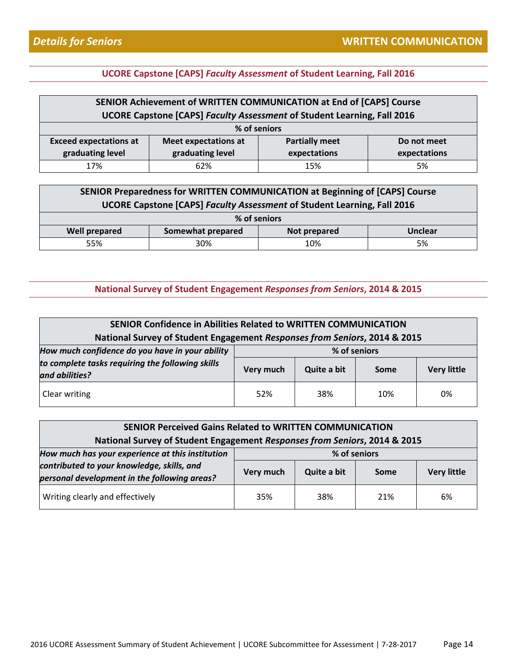| SENIOR Achievement of WRITTEN COMMUNICATION at End of [CAPS] Course  |                                                                                |                       |             |  |  |  |
|----------------------------------------------------------------------|--------------------------------------------------------------------------------|-----------------------|-------------|--|--|--|
|                                                                      | <b>UCORE Capstone [CAPS] Faculty Assessment of Student Learning, Fall 2016</b> |                       |             |  |  |  |
|                                                                      | % of seniors                                                                   |                       |             |  |  |  |
| <b>Exceed expectations at</b>                                        | <b>Meet expectations at</b>                                                    | <b>Partially meet</b> | Do not meet |  |  |  |
| graduating level<br>graduating level<br>expectations<br>expectations |                                                                                |                       |             |  |  |  |
| 17%<br>62%<br>5%<br>15%                                              |                                                                                |                       |             |  |  |  |

| SENIOR Preparedness for WRITTEN COMMUNICATION at Beginning of [CAPS] Course    |              |  |  |  |  |  |
|--------------------------------------------------------------------------------|--------------|--|--|--|--|--|
| <b>UCORE Capstone [CAPS] Faculty Assessment of Student Learning, Fall 2016</b> |              |  |  |  |  |  |
|                                                                                | % of seniors |  |  |  |  |  |
| Somewhat prepared<br><b>Well prepared</b><br><b>Unclear</b><br>Not prepared    |              |  |  |  |  |  |
| 30%<br>5%<br>55%<br>10%                                                        |              |  |  |  |  |  |

| <b>SENIOR Confidence in Abilities Related to WRITTEN COMMUNICATION</b>    |                                                        |              |     |    |  |  |
|---------------------------------------------------------------------------|--------------------------------------------------------|--------------|-----|----|--|--|
| National Survey of Student Engagement Responses from Seniors, 2014 & 2015 |                                                        |              |     |    |  |  |
| How much confidence do you have in your ability                           |                                                        | % of seniors |     |    |  |  |
| to complete tasks requiring the following skills<br>and abilities?        | <b>Very little</b><br>Quite a bit<br>Very much<br>Some |              |     |    |  |  |
| Clear writing                                                             | 52%                                                    | 38%          | 10% | 0% |  |  |

| <b>SENIOR Perceived Gains Related to WRITTEN COMMUNICATION</b>            |                                                        |              |     |    |  |
|---------------------------------------------------------------------------|--------------------------------------------------------|--------------|-----|----|--|
| National Survey of Student Engagement Responses from Seniors, 2014 & 2015 |                                                        |              |     |    |  |
| How much has your experience at this institution                          |                                                        | % of seniors |     |    |  |
| contributed to your knowledge, skills, and                                | <b>Very little</b><br>Quite a bit<br>Very much<br>Some |              |     |    |  |
| personal development in the following areas?                              |                                                        |              |     |    |  |
| Writing clearly and effectively                                           | 35%                                                    | 38%          | 21% | 6% |  |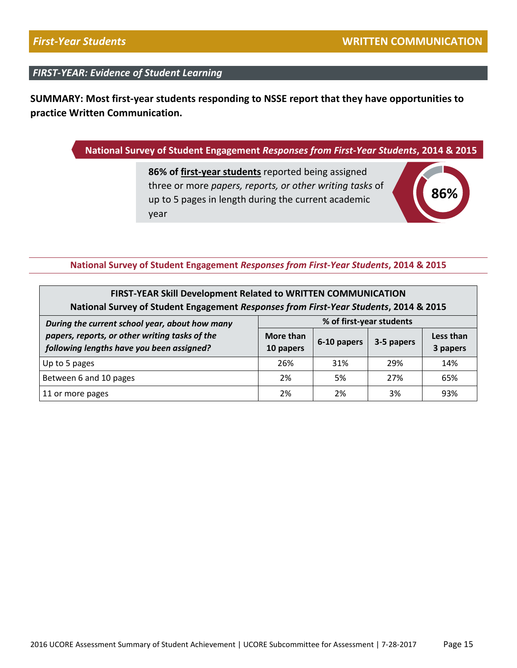**SUMMARY: Most first-year students responding to NSSE report that they have opportunities to practice Written Communication.**

### **National Survey of Student Engagement** *Responses from First-Year Students***, 2014 & 2015**

**86% of first-year students** reported being assigned three or more *papers, reports, or other writing tasks* of up to 5 pages in length during the current academic year



| FIRST-YEAR Skill Development Related to WRITTEN COMMUNICATION<br>National Survey of Student Engagement Responses from First-Year Students, 2014 & 2015                      |    |    |    |     |  |  |  |
|-----------------------------------------------------------------------------------------------------------------------------------------------------------------------------|----|----|----|-----|--|--|--|
| % of first-year students<br>During the current school year, about how many                                                                                                  |    |    |    |     |  |  |  |
| papers, reports, or other writing tasks of the<br>More than<br>Less than<br>6-10 papers<br>3-5 papers<br>following lengths have you been assigned?<br>10 papers<br>3 papers |    |    |    |     |  |  |  |
| 14%<br>26%<br>31%<br>29%<br>Up to 5 pages                                                                                                                                   |    |    |    |     |  |  |  |
| Between 6 and 10 pages<br>65%<br>2%<br>5%<br>27%                                                                                                                            |    |    |    |     |  |  |  |
| 11 or more pages                                                                                                                                                            | 2% | 2% | 3% | 93% |  |  |  |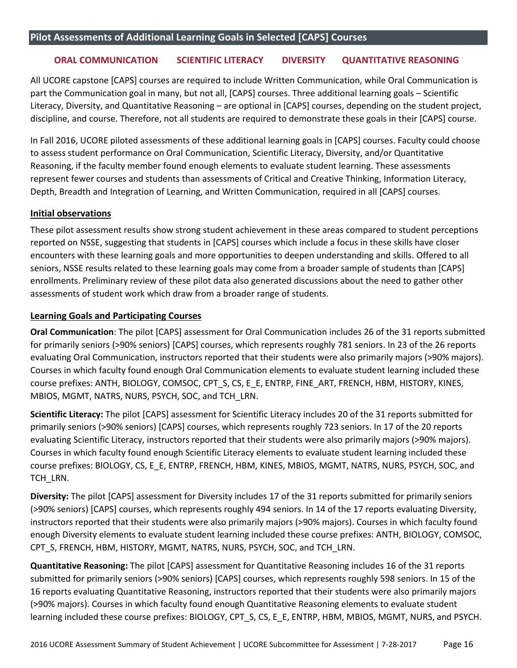#### <span id="page-15-0"></span>**ORAL COMMUNICATION SCIENTIFIC LITERACY DIVERSITY QUANTITATIVE REASONING**

All UCORE capstone [CAPS] courses are required to include Written Communication, while Oral Communication is part the Communication goal in many, but not all, [CAPS] courses. Three additional learning goals – Scientific Literacy, Diversity, and Quantitative Reasoning – are optional in [CAPS] courses, depending on the student project, discipline, and course. Therefore, not all students are required to demonstrate these goals in their [CAPS] course.

In Fall 2016, UCORE piloted assessments of these additional learning goals in [CAPS] courses. Faculty could choose to assess student performance on Oral Communication, Scientific Literacy, Diversity, and/or Quantitative Reasoning, if the faculty member found enough elements to evaluate student learning. These assessments represent fewer courses and students than assessments of Critical and Creative Thinking, Information Literacy, Depth, Breadth and Integration of Learning, and Written Communication, required in all [CAPS] courses.

#### **Initial observations**

These pilot assessment results show strong student achievement in these areas compared to student perceptions reported on NSSE, suggesting that students in [CAPS] courses which include a focus in these skills have closer encounters with these learning goals and more opportunities to deepen understanding and skills. Offered to all seniors, NSSE results related to these learning goals may come from a broader sample of students than [CAPS] enrollments. Preliminary review of these pilot data also generated discussions about the need to gather other assessments of student work which draw from a broader range of students.

#### **Learning Goals and Participating Courses**

**Oral Communication**: The pilot [CAPS] assessment for Oral Communication includes 26 of the 31 reports submitted for primarily seniors (>90% seniors) [CAPS] courses, which represents roughly 781 seniors. In 23 of the 26 reports evaluating Oral Communication, instructors reported that their students were also primarily majors (>90% majors). Courses in which faculty found enough Oral Communication elements to evaluate student learning included these course prefixes: ANTH, BIOLOGY, COMSOC, CPT\_S, CS, E\_E, ENTRP, FINE\_ART, FRENCH, HBM, HISTORY, KINES, MBIOS, MGMT, NATRS, NURS, PSYCH, SOC, and TCH\_LRN.

**Scientific Literacy:** The pilot [CAPS] assessment for Scientific Literacy includes 20 of the 31 reports submitted for primarily seniors (>90% seniors) [CAPS] courses, which represents roughly 723 seniors. In 17 of the 20 reports evaluating Scientific Literacy, instructors reported that their students were also primarily majors (>90% majors). Courses in which faculty found enough Scientific Literacy elements to evaluate student learning included these course prefixes: BIOLOGY, CS, E\_E, ENTRP, FRENCH, HBM, KINES, MBIOS, MGMT, NATRS, NURS, PSYCH, SOC, and TCH\_LRN.

**Diversity:** The pilot [CAPS] assessment for Diversity includes 17 of the 31 reports submitted for primarily seniors (>90% seniors) [CAPS] courses, which represents roughly 494 seniors. In 14 of the 17 reports evaluating Diversity, instructors reported that their students were also primarily majors (>90% majors). Courses in which faculty found enough Diversity elements to evaluate student learning included these course prefixes: ANTH, BIOLOGY, COMSOC, CPT\_S, FRENCH, HBM, HISTORY, MGMT, NATRS, NURS, PSYCH, SOC, and TCH\_LRN.

**Quantitative Reasoning:** The pilot [CAPS] assessment for Quantitative Reasoning includes 16 of the 31 reports submitted for primarily seniors (>90% seniors) [CAPS] courses, which represents roughly 598 seniors. In 15 of the 16 reports evaluating Quantitative Reasoning, instructors reported that their students were also primarily majors (>90% majors). Courses in which faculty found enough Quantitative Reasoning elements to evaluate student learning included these course prefixes: BIOLOGY, CPT\_S, CS, E\_E, ENTRP, HBM, MBIOS, MGMT, NURS, and PSYCH.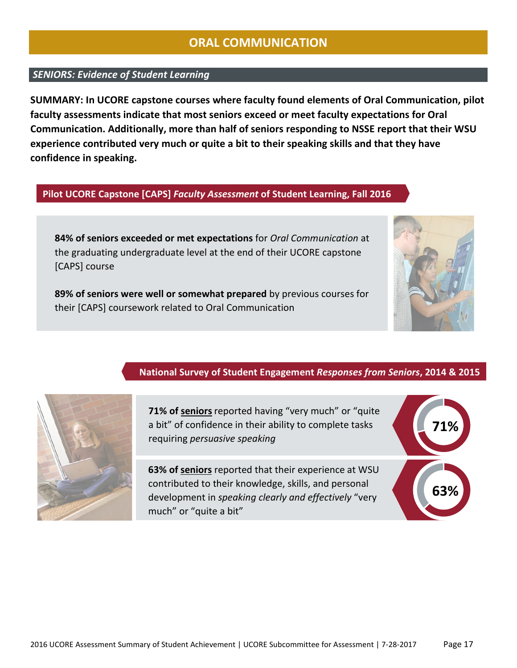# **ORAL COMMUNICATION**

### <span id="page-16-0"></span>*SENIORS: Evidence of Student Learning*

**SUMMARY: In UCORE capstone courses where faculty found elements of Oral Communication, pilot faculty assessments indicate that most seniors exceed or meet faculty expectations for Oral Communication. Additionally, more than half of seniors responding to NSSE report that their WSU experience contributed very much or quite a bit to their speaking skills and that they have confidence in speaking.** 

### **Pilot UCORE Capstone [CAPS]** *Faculty Assessment* **of Student Learning, Fall 2016**

**84% of seniors exceeded or met expectations** for *Oral Communication* at the graduating undergraduate level at the end of their UCORE capstone [CAPS] course

**89% of seniors were well or somewhat prepared** by previous courses for their [CAPS] coursework related to Oral Communication



### **National Survey of Student Engagement** *Responses from Seniors***, 2014 & 2015**



**71% of seniors**reported having "very much" or "quite a bit" of confidence in their ability to complete tasks requiring *persuasive speaking*

**63% of seniors** reported that their experience at WSU contributed to their knowledge, skills, and personal development in *speaking clearly and effectively* "very much" or "quite a bit"

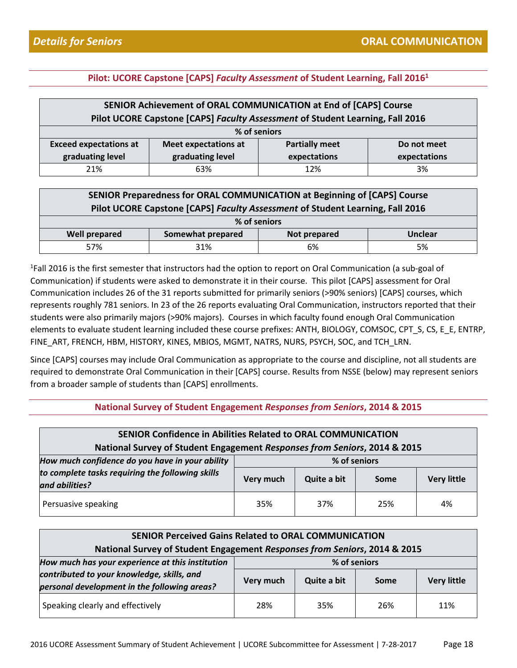| SENIOR Achievement of ORAL COMMUNICATION at End of [CAPS] Course     |                                                                               |  |  |  |  |  |
|----------------------------------------------------------------------|-------------------------------------------------------------------------------|--|--|--|--|--|
|                                                                      | Pilot UCORE Capstone [CAPS] Faculty Assessment of Student Learning, Fall 2016 |  |  |  |  |  |
|                                                                      | % of seniors                                                                  |  |  |  |  |  |
| <b>Exceed expectations at</b>                                        | <b>Partially meet</b><br><b>Meet expectations at</b><br>Do not meet           |  |  |  |  |  |
| graduating level<br>graduating level<br>expectations<br>expectations |                                                                               |  |  |  |  |  |
| 21%                                                                  | 63%<br>12%<br>3%                                                              |  |  |  |  |  |

| SENIOR Preparedness for ORAL COMMUNICATION at Beginning of [CAPS] Course<br>Pilot UCORE Capstone [CAPS] Faculty Assessment of Student Learning, Fall 2016 |                 |  |  |  |  |  |
|-----------------------------------------------------------------------------------------------------------------------------------------------------------|-----------------|--|--|--|--|--|
|                                                                                                                                                           | % of seniors    |  |  |  |  |  |
| Somewhat prepared<br><b>Well prepared</b><br>Not prepared<br><b>Unclear</b>                                                                               |                 |  |  |  |  |  |
| 57%                                                                                                                                                       | 31%<br>6%<br>5% |  |  |  |  |  |

<sup>1</sup>Fall 2016 is the first semester that instructors had the option to report on Oral Communication (a sub-goal of Communication) if students were asked to demonstrate it in their course. This pilot [CAPS] assessment for Oral Communication includes 26 of the 31 reports submitted for primarily seniors (>90% seniors) [CAPS] courses, which represents roughly 781 seniors. In 23 of the 26 reports evaluating Oral Communication, instructors reported that their students were also primarily majors (>90% majors). Courses in which faculty found enough Oral Communication elements to evaluate student learning included these course prefixes: ANTH, BIOLOGY, COMSOC, CPT\_S, CS, E\_E, ENTRP, FINE\_ART, FRENCH, HBM, HISTORY, KINES, MBIOS, MGMT, NATRS, NURS, PSYCH, SOC, and TCH\_LRN.

Since [CAPS] courses may include Oral Communication as appropriate to the course and discipline, not all students are required to demonstrate Oral Communication in their [CAPS] course. Results from NSSE (below) may represent seniors from a broader sample of students than [CAPS] enrollments.

| <b>SENIOR Confidence in Abilities Related to ORAL COMMUNICATION</b><br>National Survey of Student Engagement Responses from Seniors, 2014 & 2015 |              |             |      |                    |  |
|--------------------------------------------------------------------------------------------------------------------------------------------------|--------------|-------------|------|--------------------|--|
| How much confidence do you have in your ability                                                                                                  | % of seniors |             |      |                    |  |
| to complete tasks requiring the following skills<br>and abilities?                                                                               | Very much    | Quite a bit | Some | <b>Very little</b> |  |
| Persuasive speaking                                                                                                                              | 35%          | 37%         | 25%  | 4%                 |  |

| <b>SENIOR Perceived Gains Related to ORAL COMMUNICATION</b><br>National Survey of Student Engagement Responses from Seniors, 2014 & 2015 |              |             |      |                    |  |
|------------------------------------------------------------------------------------------------------------------------------------------|--------------|-------------|------|--------------------|--|
| How much has your experience at this institution                                                                                         | % of seniors |             |      |                    |  |
| contributed to your knowledge, skills, and<br>personal development in the following areas?                                               | Very much    | Quite a bit | Some | <b>Very little</b> |  |
| Speaking clearly and effectively                                                                                                         | 28%          | 35%         | 26%  | 11%                |  |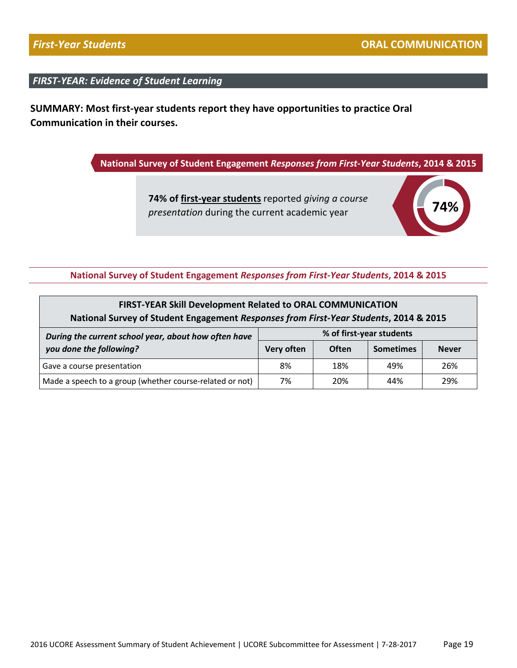**SUMMARY: Most first-year students report they have opportunities to practice Oral Communication in their courses.** 

**National Survey of Student Engagement** *Responses from First-Year Students***, 2014 & 2015**

**74% of first-year students** reported *giving a course presentation* during the current academic year



| <b>FIRST-YEAR Skill Development Related to ORAL COMMUNICATION</b><br>National Survey of Student Engagement Responses from First-Year Students, 2014 & 2015 |                                                                                            |     |     |     |  |
|------------------------------------------------------------------------------------------------------------------------------------------------------------|--------------------------------------------------------------------------------------------|-----|-----|-----|--|
| During the current school year, about how often have<br>you done the following?                                                                            | % of first-year students<br>Very often<br><b>Often</b><br><b>Sometimes</b><br><b>Never</b> |     |     |     |  |
| Gave a course presentation                                                                                                                                 | 8%                                                                                         | 18% | 49% | 26% |  |
| Made a speech to a group (whether course-related or not)                                                                                                   | 7%                                                                                         | 20% | 44% | 29% |  |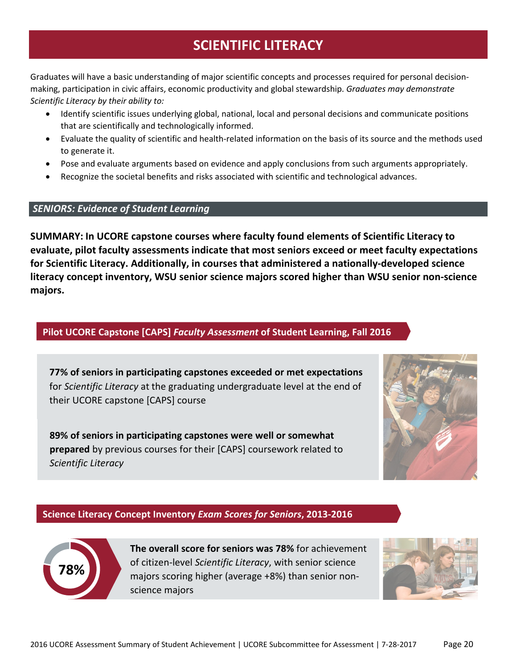# **SCIENTIFIC LITERACY**

<span id="page-19-0"></span>Graduates will have a basic understanding of major scientific concepts and processes required for personal decisionmaking, participation in civic affairs, economic productivity and global stewardship. *Graduates may demonstrate Scientific Literacy by their ability to:*

- Identify scientific issues underlying global, national, local and personal decisions and communicate positions that are scientifically and technologically informed.
- Evaluate the quality of scientific and health-related information on the basis of its source and the methods used to generate it.
- Pose and evaluate arguments based on evidence and apply conclusions from such arguments appropriately.
- Recognize the societal benefits and risks associated with scientific and technological advances.

#### *SENIORS: Evidence of Student Learning*

**SUMMARY: In UCORE capstone courses where faculty found elements of Scientific Literacy to evaluate, pilot faculty assessments indicate that most seniors exceed or meet faculty expectations for Scientific Literacy. Additionally, in courses that administered a nationally-developed science literacy concept inventory, WSU senior science majors scored higher than WSU senior non-science majors.** 

### **Pilot UCORE Capstone [CAPS]** *Faculty Assessment* **of Student Learning, Fall 2016**

**77% of seniors in participating capstones exceeded or met expectations** for *Scientific Literacy* at the graduating undergraduate level at the end of their UCORE capstone [CAPS] course

**89% of seniors in participating capstones were well or somewhat prepared** by previous courses for their [CAPS] coursework related to *Scientific Literacy*



#### **Science Literacy Concept Inventory** *Exam Scores for Seniors***, 2013-2016**



**The overall score for seniors was 78%** for achievement of citizen-level *Scientific Literacy*, with senior science majors scoring higher (average +8%) than senior nonscience majors

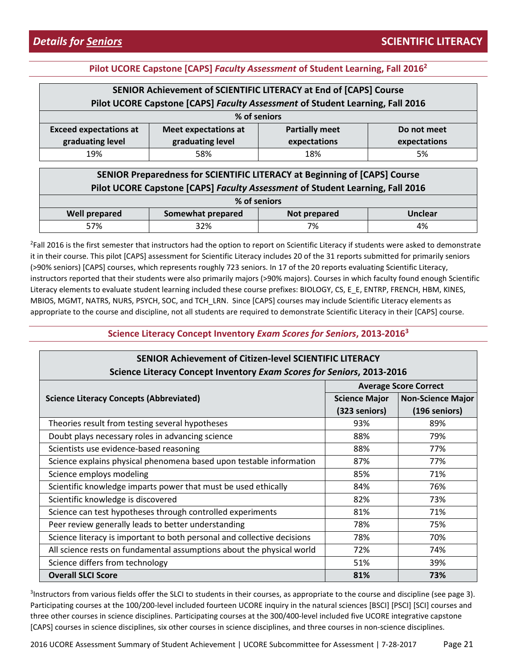| SENIOR Achievement of SCIENTIFIC LITERACY at End of [CAPS] Course              |                                                                               |  |  |  |  |  |
|--------------------------------------------------------------------------------|-------------------------------------------------------------------------------|--|--|--|--|--|
|                                                                                | Pilot UCORE Capstone [CAPS] Faculty Assessment of Student Learning, Fall 2016 |  |  |  |  |  |
|                                                                                | % of seniors                                                                  |  |  |  |  |  |
| <b>Exceed expectations at</b>                                                  | <b>Partially meet</b><br><b>Meet expectations at</b><br>Do not meet           |  |  |  |  |  |
| graduating level<br>graduating level<br>expectations<br>expectations           |                                                                               |  |  |  |  |  |
| 19%<br>58%<br>18%<br>5%                                                        |                                                                               |  |  |  |  |  |
| CENILOD Despectado e e fau COIFNTIFIC LITEDACY et Decision e f. [CADC] Carrier |                                                                               |  |  |  |  |  |

| SENIOR Preparedness for SCIENTIFIC LITERACY at Beginning of [CAPS] Course<br>Pilot UCORE Capstone [CAPS] Faculty Assessment of Student Learning, Fall 2016 |              |    |    |  |  |
|------------------------------------------------------------------------------------------------------------------------------------------------------------|--------------|----|----|--|--|
|                                                                                                                                                            | % of seniors |    |    |  |  |
| Somewhat prepared<br><b>Well prepared</b><br><b>Unclear</b><br>Not prepared                                                                                |              |    |    |  |  |
| 57%                                                                                                                                                        | 32%          | 7% | 4% |  |  |

<sup>2</sup>Fall 2016 is the first semester that instructors had the option to report on Scientific Literacy if students were asked to demonstrate it in their course. This pilot [CAPS] assessment for Scientific Literacy includes 20 of the 31 reports submitted for primarily seniors (>90% seniors) [CAPS] courses, which represents roughly 723 seniors. In 17 of the 20 reports evaluating Scientific Literacy, instructors reported that their students were also primarily majors (>90% majors). Courses in which faculty found enough Scientific Literacy elements to evaluate student learning included these course prefixes: BIOLOGY, CS, E\_E, ENTRP, FRENCH, HBM, KINES, MBIOS, MGMT, NATRS, NURS, PSYCH, SOC, and TCH\_LRN. Since [CAPS] courses may include Scientific Literacy elements as appropriate to the course and discipline, not all students are required to demonstrate Scientific Literacy in their [CAPS] course.

#### **Science Literacy Concept Inventory** *Exam Scores for Seniors***, 2013-20163**

| <b>SENIOR Achievement of Citizen-level SCIENTIFIC LITERACY</b>          |                              |                          |  |  |  |
|-------------------------------------------------------------------------|------------------------------|--------------------------|--|--|--|
| Science Literacy Concept Inventory Exam Scores for Seniors, 2013-2016   |                              |                          |  |  |  |
|                                                                         | <b>Average Score Correct</b> |                          |  |  |  |
| <b>Science Literacy Concepts (Abbreviated)</b>                          | <b>Science Major</b>         | <b>Non-Science Major</b> |  |  |  |
|                                                                         | (323 seniors)                | (196 seniors)            |  |  |  |
| Theories result from testing several hypotheses                         | 93%                          | 89%                      |  |  |  |
| Doubt plays necessary roles in advancing science                        | 88%                          | 79%                      |  |  |  |
| Scientists use evidence-based reasoning                                 | 88%                          | 77%                      |  |  |  |
| Science explains physical phenomena based upon testable information     | 87%                          | 77%                      |  |  |  |
| Science employs modeling                                                | 85%                          | 71%                      |  |  |  |
| Scientific knowledge imparts power that must be used ethically          | 84%                          | 76%                      |  |  |  |
| Scientific knowledge is discovered                                      | 82%                          | 73%                      |  |  |  |
| Science can test hypotheses through controlled experiments              | 81%                          | 71%                      |  |  |  |
| Peer review generally leads to better understanding                     | 78%                          | 75%                      |  |  |  |
| Science literacy is important to both personal and collective decisions | 78%                          | 70%                      |  |  |  |
| All science rests on fundamental assumptions about the physical world   | 72%                          | 74%                      |  |  |  |
| Science differs from technology                                         | 51%                          | 39%                      |  |  |  |
| <b>Overall SLCI Score</b>                                               | 81%                          | 73%                      |  |  |  |

<sup>3</sup>Instructors from various fields offer the SLCI to students in their courses, as appropriate to the course and discipline (see page 3). Participating courses at the 100/200-level included fourteen UCORE inquiry in the natural sciences [BSCI] [PSCI] [SCI] courses and three other courses in science disciplines. Participating courses at the 300/400-level included five UCORE integrative capstone [CAPS] courses in science disciplines, six other courses in science disciplines, and three courses in non-science disciplines.

2016 UCORE Assessment Summary of Student Achievement | UCORE Subcommittee for Assessment | 7-28-2017 Page 21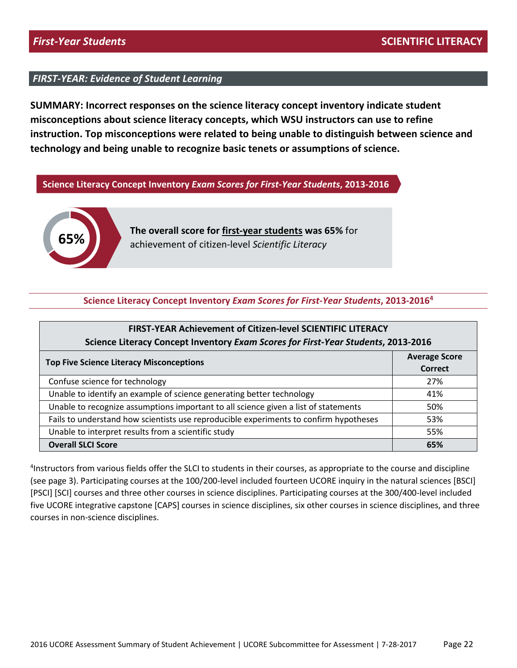**SUMMARY: Incorrect responses on the science literacy concept inventory indicate student misconceptions about science literacy concepts, which WSU instructors can use to refine instruction. Top misconceptions were related to being unable to distinguish between science and technology and being unable to recognize basic tenets or assumptions of science.**

#### **Science Literacy Concept Inventory** *Exam Scores for First-Year Students***, 2013-2016**



**The overall score for first-year students was 65%** for achievement of citizen-level *Scientific Literacy*

#### **Science Literacy Concept Inventory** *Exam Scores for First-Year Students***, 2013-20164**

| <b>FIRST-YEAR Achievement of Citizen-level SCIENTIFIC LITERACY</b><br>Science Literacy Concept Inventory Exam Scores for First-Year Students, 2013-2016 |                |  |  |  |
|---------------------------------------------------------------------------------------------------------------------------------------------------------|----------------|--|--|--|
| <b>Average Score</b><br><b>Top Five Science Literacy Misconceptions</b>                                                                                 |                |  |  |  |
| Confuse science for technology                                                                                                                          | Correct<br>27% |  |  |  |
| Unable to identify an example of science generating better technology                                                                                   | 41%            |  |  |  |
| Unable to recognize assumptions important to all science given a list of statements                                                                     | 50%            |  |  |  |
| Fails to understand how scientists use reproducible experiments to confirm hypotheses                                                                   | 53%            |  |  |  |
| Unable to interpret results from a scientific study                                                                                                     | 55%            |  |  |  |
| <b>Overall SLCI Score</b>                                                                                                                               | 65%            |  |  |  |

<sup>4</sup>Instructors from various fields offer the SLCI to students in their courses, as appropriate to the course and discipline (see page 3). Participating courses at the 100/200-level included fourteen UCORE inquiry in the natural sciences [BSCI] [PSCI] [SCI] courses and three other courses in science disciplines. Participating courses at the 300/400-level included five UCORE integrative capstone [CAPS] courses in science disciplines, six other courses in science disciplines, and three courses in non-science disciplines.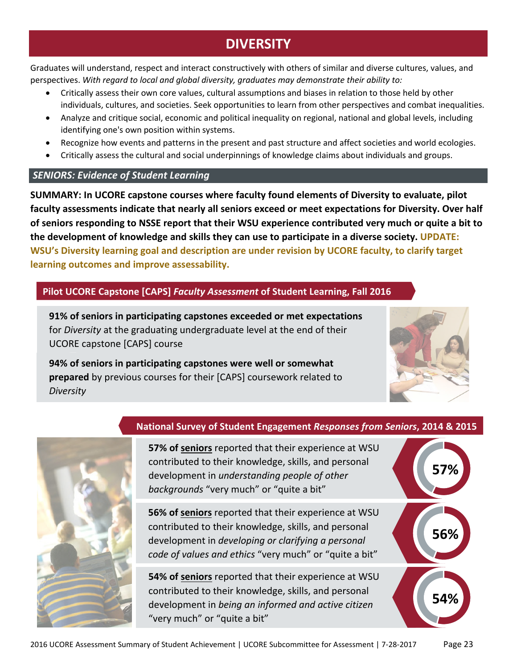# **DIVERSITY**

<span id="page-22-0"></span>Graduates will understand, respect and interact constructively with others of similar and diverse cultures, values, and perspectives. *With regard to local and global diversity, graduates may demonstrate their ability to:*

- Critically assess their own core values, cultural assumptions and biases in relation to those held by other individuals, cultures, and societies. Seek opportunities to learn from other perspectives and combat inequalities.
- Analyze and critique social, economic and political inequality on regional, national and global levels, including identifying one's own position within systems.
- Recognize how events and patterns in the present and past structure and affect societies and world ecologies.
- Critically assess the cultural and social underpinnings of knowledge claims about individuals and groups.

# *SENIORS: Evidence of Student Learning*

**SUMMARY: In UCORE capstone courses where faculty found elements of Diversity to evaluate, pilot faculty assessments indicate that nearly all seniors exceed or meet expectations for Diversity. Over half of seniors responding to NSSE report that their WSU experience contributed very much or quite a bit to the development of knowledge and skills they can use to participate in a diverse society. UPDATE: WSU's Diversity learning goal and description are under revision by UCORE faculty, to clarify target learning outcomes and improve assessability.** 

# **Pilot UCORE Capstone [CAPS]** *Faculty Assessment* **of Student Learning, Fall 2016**

**91% of seniors in participating capstones exceeded or met expectations** for *Diversity* at the graduating undergraduate level at the end of their UCORE capstone [CAPS] course

**94% of seniors in participating capstones were well or somewhat prepared** by previous courses for their [CAPS] coursework related to *Diversity*





# **National Survey of Student Engagement** *Responses from Seniors***, 2014 & 2015**



"very much" or "quite a bit"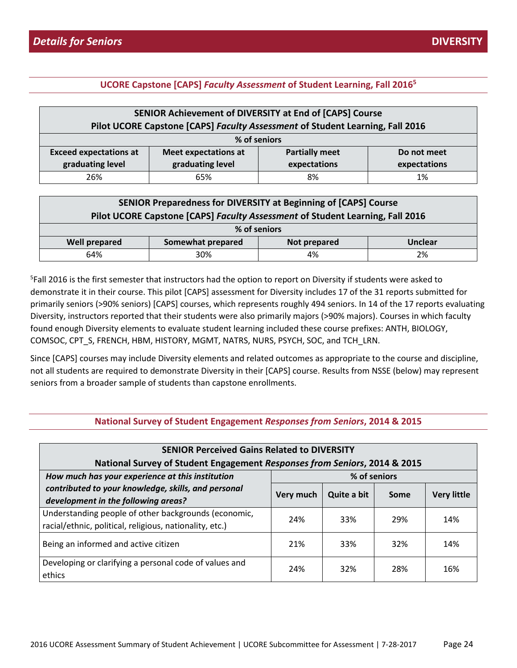|                                                                      | SENIOR Achievement of DIVERSITY at End of [CAPS] Course                       |    |    |  |  |  |
|----------------------------------------------------------------------|-------------------------------------------------------------------------------|----|----|--|--|--|
|                                                                      | Pilot UCORE Capstone [CAPS] Faculty Assessment of Student Learning, Fall 2016 |    |    |  |  |  |
|                                                                      | % of seniors                                                                  |    |    |  |  |  |
| <b>Exceed expectations at</b>                                        | <b>Partially meet</b><br><b>Meet expectations at</b><br>Do not meet           |    |    |  |  |  |
| graduating level<br>graduating level<br>expectations<br>expectations |                                                                               |    |    |  |  |  |
| 26%                                                                  | 65%                                                                           | 8% | 1% |  |  |  |

| SENIOR Preparedness for DIVERSITY at Beginning of [CAPS] Course<br>Pilot UCORE Capstone [CAPS] Faculty Assessment of Student Learning, Fall 2016 |                                                     |    |    |  |  |
|--------------------------------------------------------------------------------------------------------------------------------------------------|-----------------------------------------------------|----|----|--|--|
|                                                                                                                                                  | % of seniors                                        |    |    |  |  |
| <b>Well prepared</b>                                                                                                                             | Somewhat prepared<br><b>Unclear</b><br>Not prepared |    |    |  |  |
| 64%                                                                                                                                              | 30%                                                 | 4% | 2% |  |  |

5 Fall 2016 is the first semester that instructors had the option to report on Diversity if students were asked to demonstrate it in their course. This pilot [CAPS] assessment for Diversity includes 17 of the 31 reports submitted for primarily seniors (>90% seniors) [CAPS] courses, which represents roughly 494 seniors. In 14 of the 17 reports evaluating Diversity, instructors reported that their students were also primarily majors (>90% majors). Courses in which faculty found enough Diversity elements to evaluate student learning included these course prefixes: ANTH, BIOLOGY, COMSOC, CPT\_S, FRENCH, HBM, HISTORY, MGMT, NATRS, NURS, PSYCH, SOC, and TCH\_LRN.

Since [CAPS] courses may include Diversity elements and related outcomes as appropriate to the course and discipline, not all students are required to demonstrate Diversity in their [CAPS] course. Results from NSSE (below) may represent seniors from a broader sample of students than capstone enrollments.

| <b>SENIOR Perceived Gains Related to DIVERSITY</b><br>National Survey of Student Engagement Responses from Seniors, 2014 & 2015 |           |             |                 |                    |  |
|---------------------------------------------------------------------------------------------------------------------------------|-----------|-------------|-----------------|--------------------|--|
| How much has your experience at this institution<br>% of seniors                                                                |           |             |                 |                    |  |
| contributed to your knowledge, skills, and personal<br>development in the following areas?                                      | Very much | Quite a bit | Some            | <b>Very little</b> |  |
| Understanding people of other backgrounds (economic,<br>racial/ethnic, political, religious, nationality, etc.)                 | 24%       | 33%         | 29%             | 14%                |  |
| Being an informed and active citizen                                                                                            | 21%       | 33%         | 32 <sup>%</sup> | 14%                |  |
| Developing or clarifying a personal code of values and<br>ethics                                                                | 24%       | 32%         | 28%             | 16%                |  |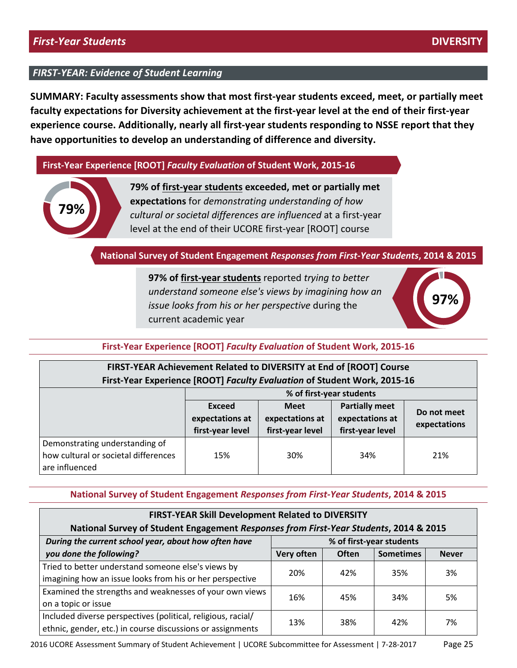**SUMMARY: Faculty assessments show that most first-year students exceed, meet, or partially meet faculty expectations for Diversity achievement at the first-year level at the end of their first-year experience course. Additionally, nearly all first-year students responding to NSSE report that they have opportunities to develop an understanding of difference and diversity.**

#### **First-Year Experience [ROOT]** *Faculty Evaluation* **of Student Work, 2015-16**



**79% of first-year students exceeded, met or partially met expectations** for *demonstrating understanding of how cultural or societal differences are influenced* at a first-year level at the end of their UCORE first-year [ROOT] course

#### **National Survey of Student Engagement** *Responses from First-Year Students***, 2014 & 2015**

**97% of first-year students** reported *trying to better understand someone else's views by imagining how an issue looks from his or her perspective* during the current academic year



#### **First-Year Experience [ROOT]** *Faculty Evaluation* **of Student Work, 2015-16**

# **FIRST-YEAR Achievement Related to DIVERSITY at End of [ROOT] Course First-Year Experience [ROOT]** *Faculty Evaluation* **of Student Work, 2015-16**

|                                                                                          | % of first-year students                      |                                                    |                                                              |                             |  |
|------------------------------------------------------------------------------------------|-----------------------------------------------|----------------------------------------------------|--------------------------------------------------------------|-----------------------------|--|
|                                                                                          | Exceed<br>expectations at<br>first-year level | <b>Meet</b><br>expectations at<br>first-year level | <b>Partially meet</b><br>expectations at<br>first-year level | Do not meet<br>expectations |  |
| Demonstrating understanding of<br>how cultural or societal differences<br>are influenced | 15%                                           | 30%                                                | 34%                                                          | 21%                         |  |

| <b>FIRST-YEAR Skill Development Related to DIVERSITY</b><br>National Survey of Student Engagement Responses from First-Year Students, 2014 & 2015 |                                                         |     |     |    |  |
|---------------------------------------------------------------------------------------------------------------------------------------------------|---------------------------------------------------------|-----|-----|----|--|
| % of first-year students<br>During the current school year, about how often have                                                                  |                                                         |     |     |    |  |
| you done the following?                                                                                                                           | Often<br>Very often<br><b>Sometimes</b><br><b>Never</b> |     |     |    |  |
| Tried to better understand someone else's views by                                                                                                | 20%                                                     | 42% | 35% | 3% |  |
| imagining how an issue looks from his or her perspective                                                                                          |                                                         |     |     |    |  |
| Examined the strengths and weaknesses of your own views                                                                                           | 16%                                                     | 45% | 34% | 5% |  |
| on a topic or issue                                                                                                                               |                                                         |     |     |    |  |
| Included diverse perspectives (political, religious, racial/                                                                                      | 13%                                                     | 38% | 42% | 7% |  |
| ethnic, gender, etc.) in course discussions or assignments                                                                                        |                                                         |     |     |    |  |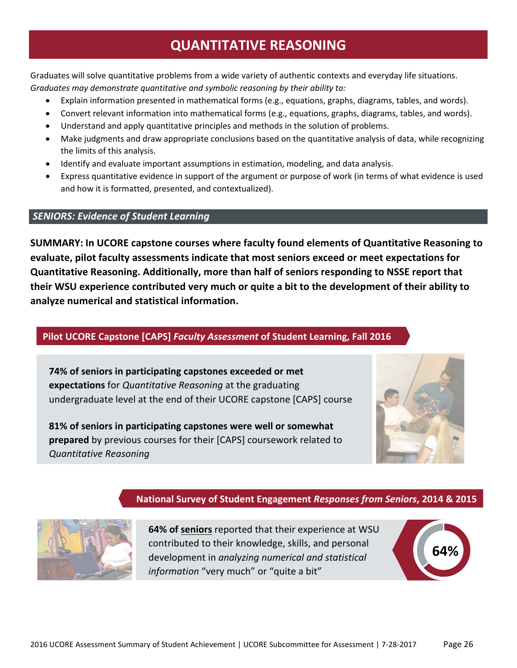# **QUANTITATIVE REASONING**

<span id="page-25-0"></span>Graduates will solve quantitative problems from a wide variety of authentic contexts and everyday life situations. *Graduates may demonstrate quantitative and symbolic reasoning by their ability to:*

- Explain information presented in mathematical forms (e.g., equations, graphs, diagrams, tables, and words).
- Convert relevant information into mathematical forms (e.g., equations, graphs, diagrams, tables, and words).
- Understand and apply quantitative principles and methods in the solution of problems.
- Make judgments and draw appropriate conclusions based on the quantitative analysis of data, while recognizing the limits of this analysis.
- Identify and evaluate important assumptions in estimation, modeling, and data analysis.
- Express quantitative evidence in support of the argument or purpose of work (in terms of what evidence is used and how it is formatted, presented, and contextualized).

#### *SENIORS: Evidence of Student Learning*

**SUMMARY: In UCORE capstone courses where faculty found elements of Quantitative Reasoning to evaluate, pilot faculty assessments indicate that most seniors exceed or meet expectations for Quantitative Reasoning. Additionally, more than half of seniors responding to NSSE report that their WSU experience contributed very much or quite a bit to the development of their ability to analyze numerical and statistical information.**

#### **Pilot UCORE Capstone [CAPS]** *Faculty Assessment* **of Student Learning, Fall 2016**

**74% of seniors in participating capstones exceeded or met expectations** for *Quantitative Reasoning* at the graduating undergraduate level at the end of their UCORE capstone [CAPS] course

**81% of seniors in participating capstones were well or somewhat prepared** by previous courses for their [CAPS] coursework related to *Quantitative Reasoning*



#### **National Survey of Student Engagement** *Responses from Seniors***, 2014 & 2015**



**64% of seniors** reported that their experience at WSU contributed to their knowledge, skills, and personal development in *analyzing numerical and statistical information* "very much" or "quite a bit"

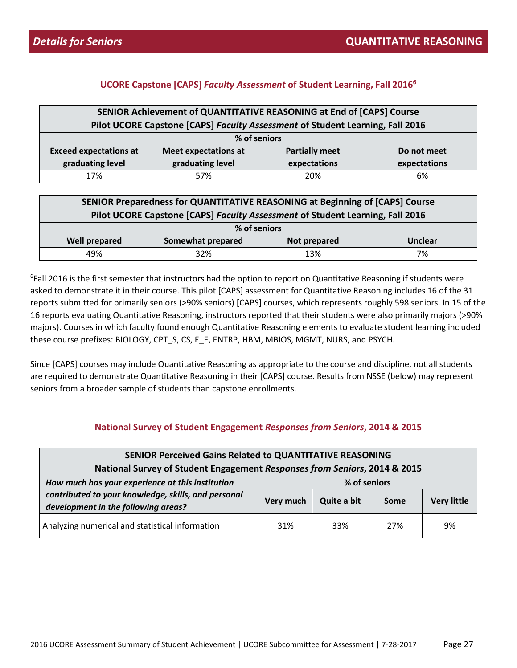| SENIOR Achievement of QUANTITATIVE REASONING at End of [CAPS] Course          |                             |                       |              |  |
|-------------------------------------------------------------------------------|-----------------------------|-----------------------|--------------|--|
| Pilot UCORE Capstone [CAPS] Faculty Assessment of Student Learning, Fall 2016 |                             |                       |              |  |
| % of seniors                                                                  |                             |                       |              |  |
| <b>Exceed expectations at</b>                                                 | <b>Meet expectations at</b> | <b>Partially meet</b> | Do not meet  |  |
| graduating level                                                              | graduating level            | expectations          | expectations |  |
| 17%                                                                           | 57%                         | 20%                   | 6%           |  |

| SENIOR Preparedness for QUANTITATIVE REASONING at Beginning of [CAPS] Course  |                   |              |                |
|-------------------------------------------------------------------------------|-------------------|--------------|----------------|
| Pilot UCORE Capstone [CAPS] Faculty Assessment of Student Learning, Fall 2016 |                   |              |                |
| % of seniors                                                                  |                   |              |                |
| <b>Well prepared</b>                                                          | Somewhat prepared | Not prepared | <b>Unclear</b> |
| 49%                                                                           | 32%               | 13%          | 7%             |

6 Fall 2016 is the first semester that instructors had the option to report on Quantitative Reasoning if students were asked to demonstrate it in their course. This pilot [CAPS] assessment for Quantitative Reasoning includes 16 of the 31 reports submitted for primarily seniors (>90% seniors) [CAPS] courses, which represents roughly 598 seniors. In 15 of the 16 reports evaluating Quantitative Reasoning, instructors reported that their students were also primarily majors (>90% majors). Courses in which faculty found enough Quantitative Reasoning elements to evaluate student learning included these course prefixes: BIOLOGY, CPT\_S, CS, E\_E, ENTRP, HBM, MBIOS, MGMT, NURS, and PSYCH.

Since [CAPS] courses may include Quantitative Reasoning as appropriate to the course and discipline, not all students are required to demonstrate Quantitative Reasoning in their [CAPS] course. Results from NSSE (below) may represent seniors from a broader sample of students than capstone enrollments.

| National Survey of Student Engagement Responses from Seniors, 2014 & 2015 |  |
|---------------------------------------------------------------------------|--|
|---------------------------------------------------------------------------|--|

| <b>SENIOR Perceived Gains Related to QUANTITATIVE REASONING</b><br>National Survey of Student Engagement Responses from Seniors, 2014 & 2015   |           |                             |      |                    |
|------------------------------------------------------------------------------------------------------------------------------------------------|-----------|-----------------------------|------|--------------------|
| How much has your experience at this institution<br>contributed to your knowledge, skills, and personal<br>development in the following areas? | Very much | % of seniors<br>Quite a bit | Some | <b>Very little</b> |
| Analyzing numerical and statistical information                                                                                                | 31%       | 33%                         | 27%  | 9%                 |